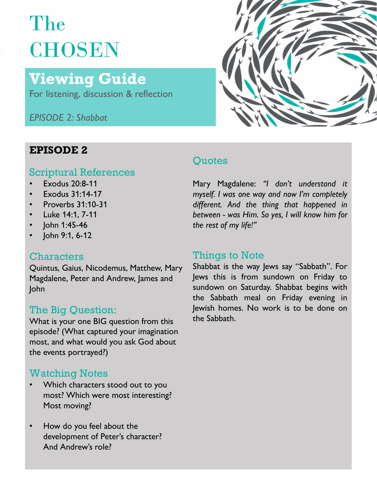# The **CHOSEN**

## Viewing Guide

For listening, discussion & reflection

EPISODE 2: Shabbat



#### EPISODE 2

#### Scriptural References

- 
- 
- 
- 
- John 1:45-46
- John 9:1, 6-12

#### **Characters**

John

### The Big Question:

What is your one BIG question from this the Sabbath. episode? (What captured your imagination most, and what would you ask God about the events portrayed?)

### Watching Notes

- Which characters stood out to you most? Which were most interesting? Most moving?
- How do you feel about the development of Peter's character? And Andrew's role?

#### **Ouotes**

Exodus 20:8-11 **All Mary Many Magdalene:** "I don't understand it Exodus 31:14-17 **Exodus 31:14-17** *myself. I was one way and now I'm completely* Proverbs 31:10-31 **Figure 1** alifferent. And the thing that happened in **Luke 14:1, 7-11** *Luke 14:1, 7-11 Luke 14:1, 7-11 between - was Him. So yes, I will know him for* Surface Shapparts of North Mary Magdalene: "I don't understand it myself. I was one way and now I'm completely<br>different. And the thing that happened in<br>between - was Him. So yes, I will know him for<br>the rest of my life!"<br>

Quintus, Gaius, Nicodemus, Matthew, Mary Shabbat is the way Jews say "Sabbath". For<br>Magdalene, Peter and Andrew, James and lews this is from sundown on Friday to Magdalene, Peter and Andrew, James and lews this is from sundown on Friday to<br>Iohn sundown on Saturday. Shabbat begins with **Quotes**<br>
Mary Magdalene: "I don't understand it<br>
myself. I was one way and now I'm completely<br>
different. And the thing that happened in<br>
between - was Him. So yes, I will know him for<br>
the rest of my life!"<br> **Things to N** Quotes<br>
Mary Magdalene: "I don't understand it<br>
myself. I was one way and now I'm completely<br>
different. And the thing that happened in<br>
between - was Him. So yes, I will know him for<br>
the rest of my life!"<br>
Things to Note Quotes<br>
Mary Magdalene: "I don't understand it<br>
myself. I was one way and now I'm completely<br>
different. And the thing that happened in<br>
between - was Him. So yes, I will know him for<br>
the rest of my life!"<br> **Things to Not** Quotes<br>
Mary Magdalene: "I don't understand it<br>
myself. I was one way and now I'm completely<br>
different. And the thing that happened in<br>
between - was Him. So yes, I will know him for<br>
the rest of my life!"<br>
Things to Note Quotes<br>
Mary Magdalene: "I don't understand it<br>
myself. I was one way and now I'm completely<br>
different. And the thing that happened in<br>
between - was Him. So yes, I will know him for<br>
the rest of my life!"<br>
Things to Note Mary Magdalene: "I don't understand it<br>myself. I was one way and now I'm completely<br>different. And the thing that happened in<br>between - was Him. So yes, I will know him for<br>the rest of my life!"<br>**Things to Note**<br>Shabbat is